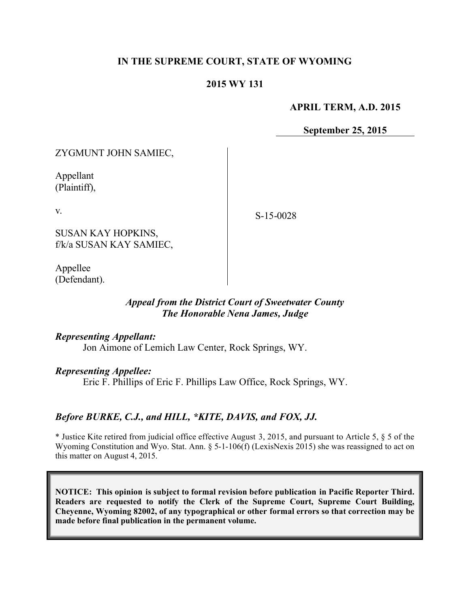## **IN THE SUPREME COURT, STATE OF WYOMING**

### **2015 WY 131**

#### **APRIL TERM, A.D. 2015**

**September 25, 2015**

ZYGMUNT JOHN SAMIEC,

Appellant (Plaintiff),

v.

S-15-0028

SUSAN KAY HOPKINS, f/k/a SUSAN KAY SAMIEC,

Appellee (Defendant).

#### *Appeal from the District Court of Sweetwater County The Honorable Nena James, Judge*

#### *Representing Appellant:*

Jon Aimone of Lemich Law Center, Rock Springs, WY.

#### *Representing Appellee:*

Eric F. Phillips of Eric F. Phillips Law Office, Rock Springs, WY.

#### *Before BURKE, C.J., and HILL, \*KITE, DAVIS, and FOX, JJ.*

\* Justice Kite retired from judicial office effective August 3, 2015, and pursuant to Article 5, § 5 of the Wyoming Constitution and Wyo. Stat. Ann. § 5-1-106(f) (LexisNexis 2015) she was reassigned to act on this matter on August 4, 2015.

**NOTICE: This opinion is subject to formal revision before publication in Pacific Reporter Third. Readers are requested to notify the Clerk of the Supreme Court, Supreme Court Building, Cheyenne, Wyoming 82002, of any typographical or other formal errors so that correction may be made before final publication in the permanent volume.**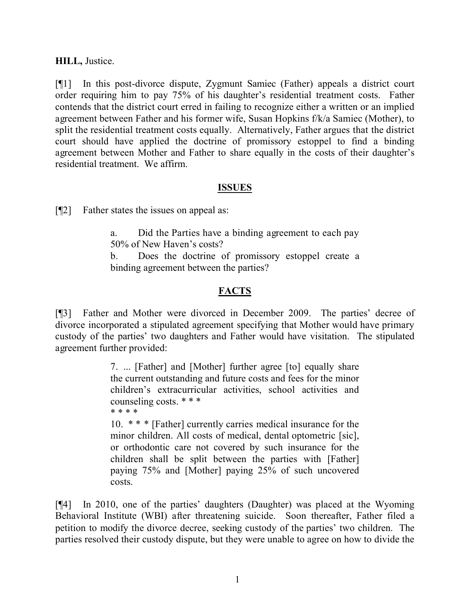### **HILL,** Justice.

[¶1] In this post-divorce dispute, Zygmunt Samiec (Father) appeals a district court order requiring him to pay 75% of his daughter's residential treatment costs. Father contends that the district court erred in failing to recognize either a written or an implied agreement between Father and his former wife, Susan Hopkins f/k/a Samiec (Mother), to split the residential treatment costs equally. Alternatively, Father argues that the district court should have applied the doctrine of promissory estoppel to find a binding agreement between Mother and Father to share equally in the costs of their daughter's residential treatment. We affirm.

### **ISSUES**

[¶2] Father states the issues on appeal as:

a. Did the Parties have a binding agreement to each pay 50% of New Haven's costs?

b. Does the doctrine of promissory estoppel create a binding agreement between the parties?

# **FACTS**

[¶3] Father and Mother were divorced in December 2009. The parties' decree of divorce incorporated a stipulated agreement specifying that Mother would have primary custody of the parties' two daughters and Father would have visitation. The stipulated agreement further provided:

> 7. ... [Father] and [Mother] further agree [to] equally share the current outstanding and future costs and fees for the minor children's extracurricular activities, school activities and counseling costs. \* \* \* \* \* \* \*

> 10. \* \* \* [Father] currently carries medical insurance for the minor children. All costs of medical, dental optometric [sic], or orthodontic care not covered by such insurance for the children shall be split between the parties with [Father] paying 75% and [Mother] paying 25% of such uncovered costs.

[¶4] In 2010, one of the parties' daughters (Daughter) was placed at the Wyoming Behavioral Institute (WBI) after threatening suicide. Soon thereafter, Father filed a petition to modify the divorce decree, seeking custody of the parties' two children. The parties resolved their custody dispute, but they were unable to agree on how to divide the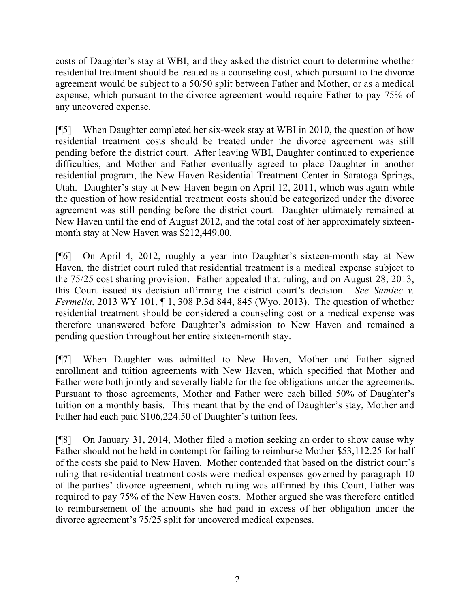costs of Daughter's stay at WBI, and they asked the district court to determine whether residential treatment should be treated as a counseling cost, which pursuant to the divorce agreement would be subject to a 50/50 split between Father and Mother, or as a medical expense, which pursuant to the divorce agreement would require Father to pay 75% of any uncovered expense.

[¶5] When Daughter completed her six-week stay at WBI in 2010, the question of how residential treatment costs should be treated under the divorce agreement was still pending before the district court. After leaving WBI, Daughter continued to experience difficulties, and Mother and Father eventually agreed to place Daughter in another residential program, the New Haven Residential Treatment Center in Saratoga Springs, Utah. Daughter's stay at New Haven began on April 12, 2011, which was again while the question of how residential treatment costs should be categorized under the divorce agreement was still pending before the district court. Daughter ultimately remained at New Haven until the end of August 2012, and the total cost of her approximately sixteenmonth stay at New Haven was \$212,449.00.

[¶6] On April 4, 2012, roughly a year into Daughter's sixteen-month stay at New Haven, the district court ruled that residential treatment is a medical expense subject to the 75/25 cost sharing provision. Father appealed that ruling, and on August 28, 2013, this Court issued its decision affirming the district court's decision. *See Samiec v. Fermelia*, 2013 WY 101, ¶ 1, 308 P.3d 844, 845 (Wyo. 2013). The question of whether residential treatment should be considered a counseling cost or a medical expense was therefore unanswered before Daughter's admission to New Haven and remained a pending question throughout her entire sixteen-month stay.

[¶7] When Daughter was admitted to New Haven, Mother and Father signed enrollment and tuition agreements with New Haven, which specified that Mother and Father were both jointly and severally liable for the fee obligations under the agreements. Pursuant to those agreements, Mother and Father were each billed 50% of Daughter's tuition on a monthly basis. This meant that by the end of Daughter's stay, Mother and Father had each paid \$106,224.50 of Daughter's tuition fees.

[¶8] On January 31, 2014, Mother filed a motion seeking an order to show cause why Father should not be held in contempt for failing to reimburse Mother \$53,112.25 for half of the costs she paid to New Haven. Mother contended that based on the district court's ruling that residential treatment costs were medical expenses governed by paragraph 10 of the parties' divorce agreement, which ruling was affirmed by this Court, Father was required to pay 75% of the New Haven costs. Mother argued she was therefore entitled to reimbursement of the amounts she had paid in excess of her obligation under the divorce agreement's 75/25 split for uncovered medical expenses.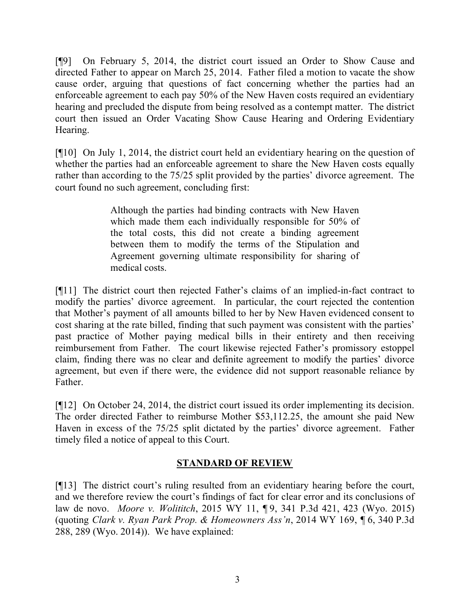[¶9] On February 5, 2014, the district court issued an Order to Show Cause and directed Father to appear on March 25, 2014. Father filed a motion to vacate the show cause order, arguing that questions of fact concerning whether the parties had an enforceable agreement to each pay 50% of the New Haven costs required an evidentiary hearing and precluded the dispute from being resolved as a contempt matter. The district court then issued an Order Vacating Show Cause Hearing and Ordering Evidentiary Hearing.

[¶10] On July 1, 2014, the district court held an evidentiary hearing on the question of whether the parties had an enforceable agreement to share the New Haven costs equally rather than according to the 75/25 split provided by the parties' divorce agreement. The court found no such agreement, concluding first:

> Although the parties had binding contracts with New Haven which made them each individually responsible for 50% of the total costs, this did not create a binding agreement between them to modify the terms of the Stipulation and Agreement governing ultimate responsibility for sharing of medical costs.

[¶11] The district court then rejected Father's claims of an implied-in-fact contract to modify the parties' divorce agreement. In particular, the court rejected the contention that Mother's payment of all amounts billed to her by New Haven evidenced consent to cost sharing at the rate billed, finding that such payment was consistent with the parties' past practice of Mother paying medical bills in their entirety and then receiving reimbursement from Father. The court likewise rejected Father's promissory estoppel claim, finding there was no clear and definite agreement to modify the parties' divorce agreement, but even if there were, the evidence did not support reasonable reliance by Father.

[¶12] On October 24, 2014, the district court issued its order implementing its decision. The order directed Father to reimburse Mother \$53,112.25, the amount she paid New Haven in excess of the 75/25 split dictated by the parties' divorce agreement. Father timely filed a notice of appeal to this Court.

# **STANDARD OF REVIEW**

[¶13] The district court's ruling resulted from an evidentiary hearing before the court, and we therefore review the court's findings of fact for clear error and its conclusions of law de novo. *Moore v. Wolititch*, 2015 WY 11, ¶ 9, 341 P.3d 421, 423 (Wyo. 2015) (quoting *Clark v. Ryan Park Prop. & Homeowners Ass'n*, 2014 WY 169, ¶ 6, 340 P.3d 288, 289 (Wyo. 2014)). We have explained: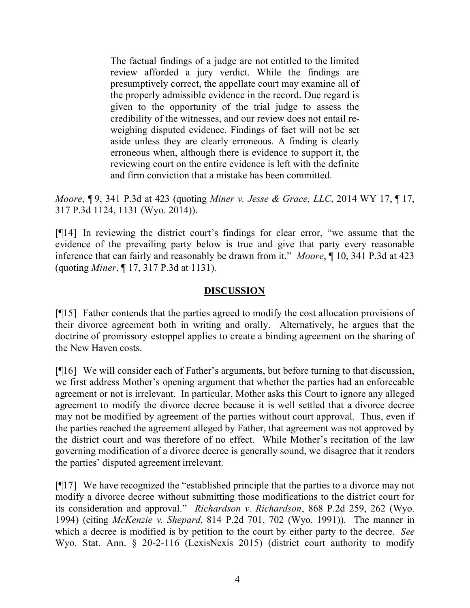The factual findings of a judge are not entitled to the limited review afforded a jury verdict. While the findings are presumptively correct, the appellate court may examine all of the properly admissible evidence in the record. Due regard is given to the opportunity of the trial judge to assess the credibility of the witnesses, and our review does not entail reweighing disputed evidence. Findings of fact will not be set aside unless they are clearly erroneous. A finding is clearly erroneous when, although there is evidence to support it, the reviewing court on the entire evidence is left with the definite and firm conviction that a mistake has been committed.

*Moore*, ¶ 9, 341 P.3d at 423 (quoting *Miner v. Jesse & Grace, LLC*, 2014 WY 17, ¶ 17, 317 P.3d 1124, 1131 (Wyo. 2014)).

[¶14] In reviewing the district court's findings for clear error, "we assume that the evidence of the prevailing party below is true and give that party every reasonable inference that can fairly and reasonably be drawn from it." *Moore*, ¶ 10, 341 P.3d at 423 (quoting *Miner*, ¶ 17, 317 P.3d at 1131).

## **DISCUSSION**

[¶15] Father contends that the parties agreed to modify the cost allocation provisions of their divorce agreement both in writing and orally. Alternatively, he argues that the doctrine of promissory estoppel applies to create a binding agreement on the sharing of the New Haven costs.

[¶16] We will consider each of Father's arguments, but before turning to that discussion, we first address Mother's opening argument that whether the parties had an enforceable agreement or not is irrelevant. In particular, Mother asks this Court to ignore any alleged agreement to modify the divorce decree because it is well settled that a divorce decree may not be modified by agreement of the parties without court approval. Thus, even if the parties reached the agreement alleged by Father, that agreement was not approved by the district court and was therefore of no effect. While Mother's recitation of the law governing modification of a divorce decree is generally sound, we disagree that it renders the parties' disputed agreement irrelevant.

[¶17] We have recognized the "established principle that the parties to a divorce may not modify a divorce decree without submitting those modifications to the district court for its consideration and approval." *Richardson v. Richardson*, 868 P.2d 259, 262 (Wyo. 1994) (citing *McKenzie v. Shepard*, 814 P.2d 701, 702 (Wyo. 1991)). The manner in which a decree is modified is by petition to the court by either party to the decree. *See*  Wyo. Stat. Ann. § 20-2-116 (LexisNexis 2015) (district court authority to modify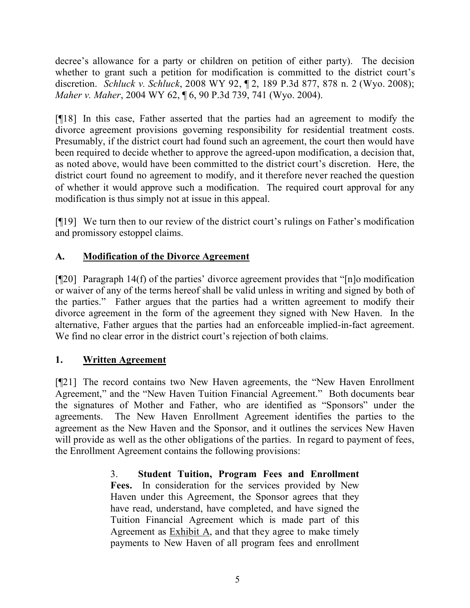decree's allowance for a party or children on petition of either party). The decision whether to grant such a petition for modification is committed to the district court's discretion. *Schluck v. Schluck*, 2008 WY 92, ¶ 2, 189 P.3d 877, 878 n. 2 (Wyo. 2008); *Maher v. Maher*, 2004 WY 62, ¶ 6, 90 P.3d 739, 741 (Wyo. 2004).

[¶18] In this case, Father asserted that the parties had an agreement to modify the divorce agreement provisions governing responsibility for residential treatment costs. Presumably, if the district court had found such an agreement, the court then would have been required to decide whether to approve the agreed-upon modification, a decision that, as noted above, would have been committed to the district court's discretion. Here, the district court found no agreement to modify, and it therefore never reached the question of whether it would approve such a modification. The required court approval for any modification is thus simply not at issue in this appeal.

[¶19] We turn then to our review of the district court's rulings on Father's modification and promissory estoppel claims.

# **A. Modification of the Divorce Agreement**

[¶20] Paragraph 14(f) of the parties' divorce agreement provides that "[n]o modification or waiver of any of the terms hereof shall be valid unless in writing and signed by both of the parties." Father argues that the parties had a written agreement to modify their divorce agreement in the form of the agreement they signed with New Haven. In the alternative, Father argues that the parties had an enforceable implied-in-fact agreement. We find no clear error in the district court's rejection of both claims.

# **1. Written Agreement**

[¶21] The record contains two New Haven agreements, the "New Haven Enrollment Agreement," and the "New Haven Tuition Financial Agreement." Both documents bear the signatures of Mother and Father, who are identified as "Sponsors" under the agreements. The New Haven Enrollment Agreement identifies the parties to the agreement as the New Haven and the Sponsor, and it outlines the services New Haven will provide as well as the other obligations of the parties. In regard to payment of fees, the Enrollment Agreement contains the following provisions:

> 3. **Student Tuition, Program Fees and Enrollment Fees.** In consideration for the services provided by New Haven under this Agreement, the Sponsor agrees that they have read, understand, have completed, and have signed the Tuition Financial Agreement which is made part of this Agreement as  $Exhibit A$ , and that they agree to make timely payments to New Haven of all program fees and enrollment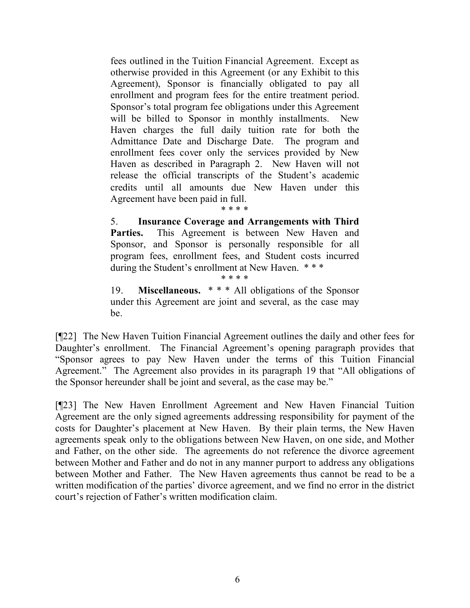fees outlined in the Tuition Financial Agreement. Except as otherwise provided in this Agreement (or any Exhibit to this Agreement), Sponsor is financially obligated to pay all enrollment and program fees for the entire treatment period. Sponsor's total program fee obligations under this Agreement will be billed to Sponsor in monthly installments. New Haven charges the full daily tuition rate for both the Admittance Date and Discharge Date. The program and enrollment fees cover only the services provided by New Haven as described in Paragraph 2. New Haven will not release the official transcripts of the Student's academic credits until all amounts due New Haven under this Agreement have been paid in full.

#### \* \* \* \*

5. **Insurance Coverage and Arrangements with Third**  Parties. This Agreement is between New Haven and Sponsor, and Sponsor is personally responsible for all program fees, enrollment fees, and Student costs incurred during the Student's enrollment at New Haven. \* \* \*

\* \* \* \*

19. **Miscellaneous.** \* \* \* All obligations of the Sponsor under this Agreement are joint and several, as the case may be.

[¶22] The New Haven Tuition Financial Agreement outlines the daily and other fees for Daughter's enrollment. The Financial Agreement's opening paragraph provides that "Sponsor agrees to pay New Haven under the terms of this Tuition Financial Agreement." The Agreement also provides in its paragraph 19 that "All obligations of the Sponsor hereunder shall be joint and several, as the case may be."

[¶23] The New Haven Enrollment Agreement and New Haven Financial Tuition Agreement are the only signed agreements addressing responsibility for payment of the costs for Daughter's placement at New Haven. By their plain terms, the New Haven agreements speak only to the obligations between New Haven, on one side, and Mother and Father, on the other side. The agreements do not reference the divorce agreement between Mother and Father and do not in any manner purport to address any obligations between Mother and Father. The New Haven agreements thus cannot be read to be a written modification of the parties' divorce agreement, and we find no error in the district court's rejection of Father's written modification claim.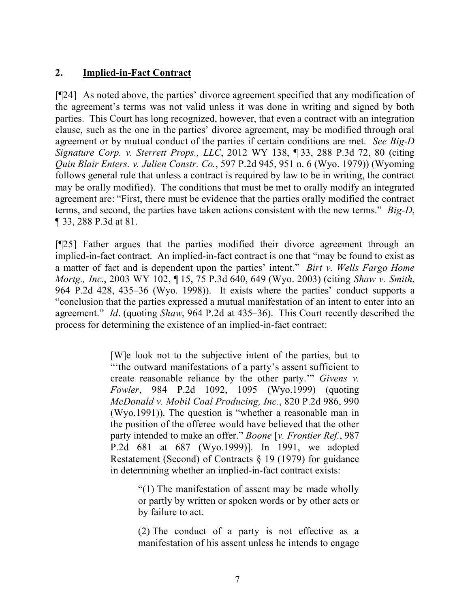# **2. Implied-in-Fact Contract**

[¶24] As noted above, the parties' divorce agreement specified that any modification of the agreement's terms was not valid unless it was done in writing and signed by both parties. This Court has long recognized, however, that even a contract with an integration clause, such as the one in the parties' divorce agreement, may be modified through oral agreement or by mutual conduct of the parties if certain conditions are met. *See Big-D Signature Corp. v. Sterrett Props., LLC*, 2012 WY 138, ¶ 33, 288 P.3d 72, 80 (citing *Quin Blair Enters. v. Julien Constr. Co.*, 597 P.2d 945, 951 n. 6 (Wyo. 1979)) (Wyoming follows general rule that unless a contract is required by law to be in writing, the contract may be orally modified). The conditions that must be met to orally modify an integrated agreement are: "First, there must be evidence that the parties orally modified the contract terms, and second, the parties have taken actions consistent with the new terms." *Big-D*, ¶ 33, 288 P.3d at 81.

[¶25] Father argues that the parties modified their divorce agreement through an implied-in-fact contract. An implied-in-fact contract is one that "may be found to exist as a matter of fact and is dependent upon the parties' intent." *Birt v. Wells Fargo Home Mortg., Inc.*, 2003 WY 102, ¶ 15, 75 P.3d 640, 649 (Wyo. 2003) (citing *Shaw v. Smith*, 964 P.2d 428, 435–36 (Wyo. 1998)). It exists where the parties' conduct supports a "conclusion that the parties expressed a mutual manifestation of an intent to enter into an agreement." *Id*. (quoting *Shaw*, 964 P.2d at 435–36). This Court recently described the process for determining the existence of an implied-in-fact contract:

> [W]e look not to the subjective intent of the parties, but to "'the outward manifestations of a party's assent sufficient to create reasonable reliance by the other party.'" *Givens v. Fowler*, 984 P.2d 1092, 1095 (Wyo.1999) (quoting *McDonald v. Mobil Coal Producing, Inc.*, 820 P.2d 986, 990 (Wyo.1991)). The question is "whether a reasonable man in the position of the offeree would have believed that the other party intended to make an offer." *Boone* [*v. Frontier Ref.*, 987 P.2d 681 at 687 (Wyo.1999)]. In 1991, we adopted Restatement (Second) of Contracts § 19 (1979) for guidance in determining whether an implied-in-fact contract exists:

> > "(1) The manifestation of assent may be made wholly or partly by written or spoken words or by other acts or by failure to act.

> > (2) The conduct of a party is not effective as a manifestation of his assent unless he intends to engage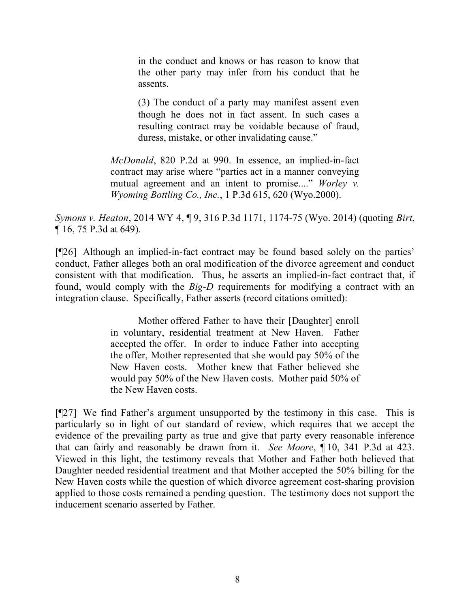in the conduct and knows or has reason to know that the other party may infer from his conduct that he assents.

(3) The conduct of a party may manifest assent even though he does not in fact assent. In such cases a resulting contract may be voidable because of fraud, duress, mistake, or other invalidating cause."

*McDonald*, 820 P.2d at 990. In essence, an implied-in-fact contract may arise where "parties act in a manner conveying mutual agreement and an intent to promise...." *Worley v. Wyoming Bottling Co., Inc.*, 1 P.3d 615, 620 (Wyo.2000).

*Symons v. Heaton*, 2014 WY 4, ¶ 9, 316 P.3d 1171, 1174-75 (Wyo. 2014) (quoting *Birt*, ¶ 16, 75 P.3d at 649).

[¶26] Although an implied-in-fact contract may be found based solely on the parties' conduct, Father alleges both an oral modification of the divorce agreement and conduct consistent with that modification. Thus, he asserts an implied-in-fact contract that, if found, would comply with the *Big-D* requirements for modifying a contract with an integration clause. Specifically, Father asserts (record citations omitted):

> Mother offered Father to have their [Daughter] enroll in voluntary, residential treatment at New Haven. Father accepted the offer. In order to induce Father into accepting the offer, Mother represented that she would pay 50% of the New Haven costs. Mother knew that Father believed she would pay 50% of the New Haven costs. Mother paid 50% of the New Haven costs.

[¶27] We find Father's argument unsupported by the testimony in this case. This is particularly so in light of our standard of review, which requires that we accept the evidence of the prevailing party as true and give that party every reasonable inference that can fairly and reasonably be drawn from it. *See Moore*, ¶ 10, 341 P.3d at 423. Viewed in this light, the testimony reveals that Mother and Father both believed that Daughter needed residential treatment and that Mother accepted the 50% billing for the New Haven costs while the question of which divorce agreement cost-sharing provision applied to those costs remained a pending question. The testimony does not support the inducement scenario asserted by Father.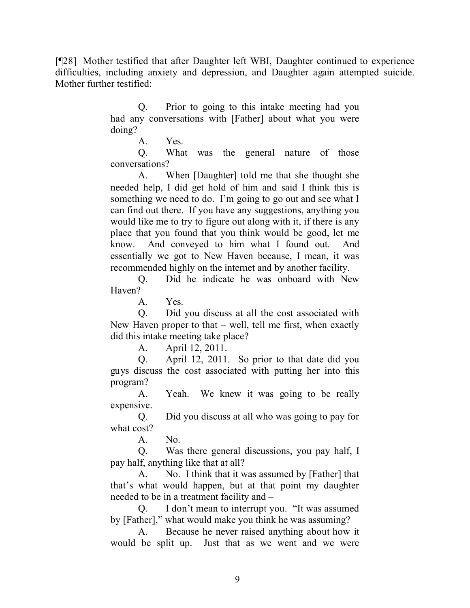[¶28] Mother testified that after Daughter left WBI, Daughter continued to experience difficulties, including anxiety and depression, and Daughter again attempted suicide. Mother further testified:

> Q. Prior to going to this intake meeting had you had any conversations with [Father] about what you were doing?

> > A. Yes.

Q. What was the general nature of those conversations?

A. When [Daughter] told me that she thought she needed help, I did get hold of him and said I think this is something we need to do. I'm going to go out and see what I can find out there. If you have any suggestions, anything you would like me to try to figure out along with it, if there is any place that you found that you think would be good, let me know. And conveyed to him what I found out. And essentially we got to New Haven because, I mean, it was recommended highly on the internet and by another facility.

Q. Did he indicate he was onboard with New Haven?

A. Yes.

Q. Did you discuss at all the cost associated with New Haven proper to that – well, tell me first, when exactly did this intake meeting take place?

A. April 12, 2011.

Q. April 12, 2011. So prior to that date did you guys discuss the cost associated with putting her into this program?

A. Yeah. We knew it was going to be really expensive.

Q. Did you discuss at all who was going to pay for what cost?

A. No.

Q. Was there general discussions, you pay half, I pay half, anything like that at all?

A. No. I think that it was assumed by [Father] that that's what would happen, but at that point my daughter needed to be in a treatment facility and –

Q. I don't mean to interrupt you. "It was assumed by [Father]," what would make you think he was assuming?

A. Because he never raised anything about how it would be split up. Just that as we went and we were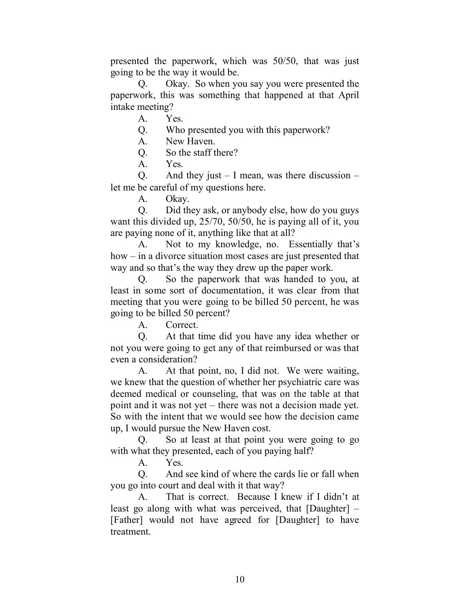presented the paperwork, which was 50/50, that was just going to be the way it would be.

Q. Okay. So when you say you were presented the paperwork, this was something that happened at that April intake meeting?

A. Yes.

Q. Who presented you with this paperwork?

A. New Haven.

Q. So the staff there?

A. Yes.

Q. And they just  $-1$  mean, was there discussion  $$ let me be careful of my questions here.

A. Okay.

Q. Did they ask, or anybody else, how do you guys want this divided up, 25/70, 50/50, he is paying all of it, you are paying none of it, anything like that at all?

A. Not to my knowledge, no. Essentially that's how – in a divorce situation most cases are just presented that way and so that's the way they drew up the paper work.

Q. So the paperwork that was handed to you, at least in some sort of documentation, it was clear from that meeting that you were going to be billed 50 percent, he was going to be billed 50 percent?

A. Correct.

Q. At that time did you have any idea whether or not you were going to get any of that reimbursed or was that even a consideration?

A. At that point, no, I did not. We were waiting, we knew that the question of whether her psychiatric care was deemed medical or counseling, that was on the table at that point and it was not yet – there was not a decision made yet. So with the intent that we would see how the decision came up, I would pursue the New Haven cost.

Q. So at least at that point you were going to go with what they presented, each of you paying half?

A. Yes.

Q. And see kind of where the cards lie or fall when you go into court and deal with it that way?

A. That is correct. Because I knew if I didn't at least go along with what was perceived, that [Daughter] – [Father] would not have agreed for [Daughter] to have treatment.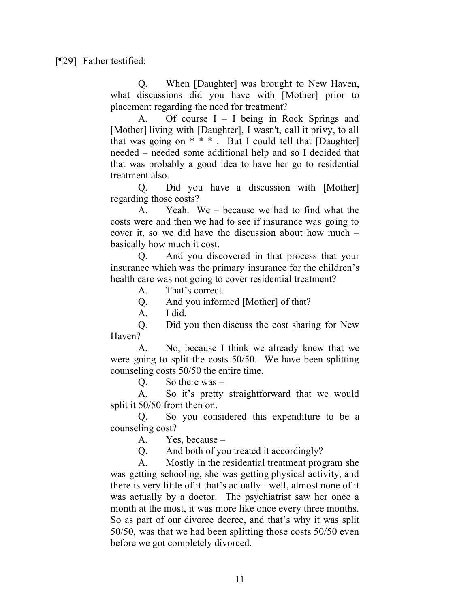Q. When [Daughter] was brought to New Haven, what discussions did you have with [Mother] prior to placement regarding the need for treatment?

A. Of course I – I being in Rock Springs and [Mother] living with [Daughter], I wasn't, call it privy, to all that was going on  $* * *$ . But I could tell that [Daughter] needed – needed some additional help and so I decided that that was probably a good idea to have her go to residential treatment also.

Q. Did you have a discussion with [Mother] regarding those costs?

A. Yeah. We – because we had to find what the costs were and then we had to see if insurance was going to cover it, so we did have the discussion about how much – basically how much it cost.

Q. And you discovered in that process that your insurance which was the primary insurance for the children's health care was not going to cover residential treatment?

A. That's correct.

Q. And you informed [Mother] of that?

A. I did.

Q. Did you then discuss the cost sharing for New Haven?

A. No, because I think we already knew that we were going to split the costs 50/50. We have been splitting counseling costs 50/50 the entire time.

Q. So there was –

A. So it's pretty straightforward that we would split it 50/50 from then on.

Q. So you considered this expenditure to be a counseling cost?

A. Yes, because –

Q. And both of you treated it accordingly?

A. Mostly in the residential treatment program she was getting schooling, she was getting physical activity, and there is very little of it that's actually –well, almost none of it was actually by a doctor. The psychiatrist saw her once a month at the most, it was more like once every three months. So as part of our divorce decree, and that's why it was split 50/50, was that we had been splitting those costs 50/50 even before we got completely divorced.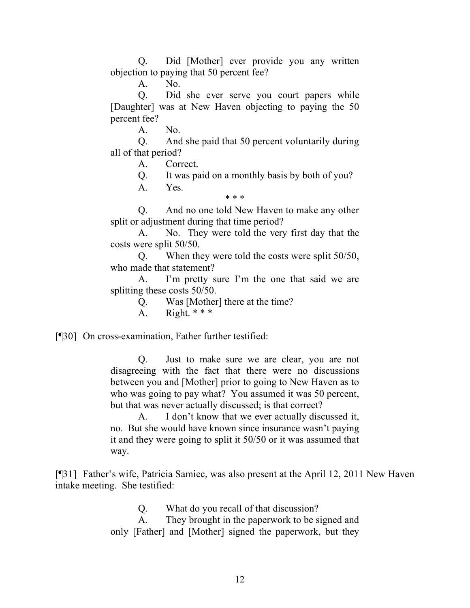Q. Did [Mother] ever provide you any written objection to paying that 50 percent fee?

A. No.

Q. Did she ever serve you court papers while [Daughter] was at New Haven objecting to paying the 50 percent fee?

A. No.

Q. And she paid that 50 percent voluntarily during all of that period?

A. Correct.

Q. It was paid on a monthly basis by both of you?

A. Yes.

Q. And no one told New Haven to make any other split or adjustment during that time period?

\* \* \*

A. No. They were told the very first day that the costs were split 50/50.

Q. When they were told the costs were split 50/50, who made that statement?

A. I'm pretty sure I'm the one that said we are splitting these costs 50/50.

Q. Was [Mother] there at the time?

A. Right.  $**$ 

[¶30] On cross-examination, Father further testified:

Q. Just to make sure we are clear, you are not disagreeing with the fact that there were no discussions between you and [Mother] prior to going to New Haven as to who was going to pay what? You assumed it was 50 percent, but that was never actually discussed; is that correct?

A. I don't know that we ever actually discussed it, no. But she would have known since insurance wasn't paying it and they were going to split it 50/50 or it was assumed that way.

[¶31] Father's wife, Patricia Samiec, was also present at the April 12, 2011 New Haven intake meeting. She testified:

Q. What do you recall of that discussion?

A. They brought in the paperwork to be signed and only [Father] and [Mother] signed the paperwork, but they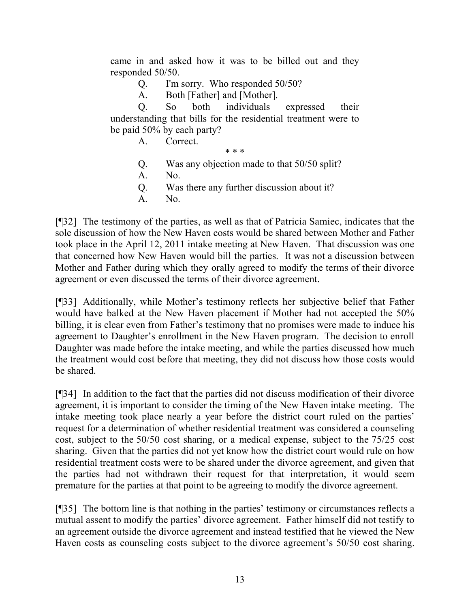came in and asked how it was to be billed out and they responded 50/50.

Q. I'm sorry. Who responded 50/50?

A. Both [Father] and [Mother].

Q. So both individuals expressed their understanding that bills for the residential treatment were to be paid 50% by each party?

A. Correct.

\* \* \*

- Q. Was any objection made to that 50/50 split?
- A. No.
- Q. Was there any further discussion about it?
- A. No.

[¶32] The testimony of the parties, as well as that of Patricia Samiec, indicates that the sole discussion of how the New Haven costs would be shared between Mother and Father took place in the April 12, 2011 intake meeting at New Haven. That discussion was one that concerned how New Haven would bill the parties. It was not a discussion between Mother and Father during which they orally agreed to modify the terms of their divorce agreement or even discussed the terms of their divorce agreement.

[¶33] Additionally, while Mother's testimony reflects her subjective belief that Father would have balked at the New Haven placement if Mother had not accepted the 50% billing, it is clear even from Father's testimony that no promises were made to induce his agreement to Daughter's enrollment in the New Haven program. The decision to enroll Daughter was made before the intake meeting, and while the parties discussed how much the treatment would cost before that meeting, they did not discuss how those costs would be shared.

[¶34] In addition to the fact that the parties did not discuss modification of their divorce agreement, it is important to consider the timing of the New Haven intake meeting. The intake meeting took place nearly a year before the district court ruled on the parties' request for a determination of whether residential treatment was considered a counseling cost, subject to the 50/50 cost sharing, or a medical expense, subject to the 75/25 cost sharing. Given that the parties did not yet know how the district court would rule on how residential treatment costs were to be shared under the divorce agreement, and given that the parties had not withdrawn their request for that interpretation, it would seem premature for the parties at that point to be agreeing to modify the divorce agreement.

[¶35] The bottom line is that nothing in the parties' testimony or circumstances reflects a mutual assent to modify the parties' divorce agreement. Father himself did not testify to an agreement outside the divorce agreement and instead testified that he viewed the New Haven costs as counseling costs subject to the divorce agreement's 50/50 cost sharing.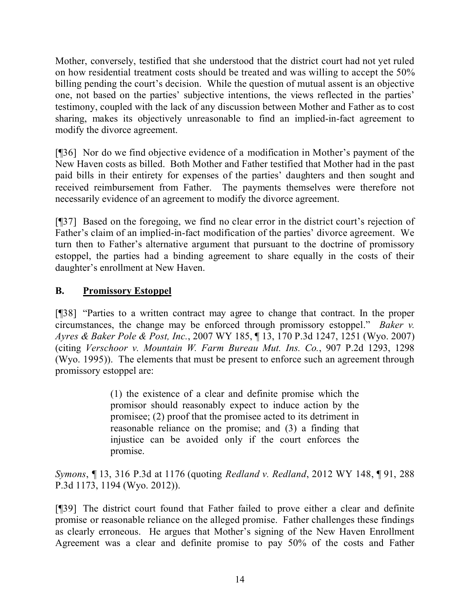Mother, conversely, testified that she understood that the district court had not yet ruled on how residential treatment costs should be treated and was willing to accept the 50% billing pending the court's decision. While the question of mutual assent is an objective one, not based on the parties' subjective intentions, the views reflected in the parties' testimony, coupled with the lack of any discussion between Mother and Father as to cost sharing, makes its objectively unreasonable to find an implied-in-fact agreement to modify the divorce agreement.

[¶36] Nor do we find objective evidence of a modification in Mother's payment of the New Haven costs as billed. Both Mother and Father testified that Mother had in the past paid bills in their entirety for expenses of the parties' daughters and then sought and received reimbursement from Father. The payments themselves were therefore not necessarily evidence of an agreement to modify the divorce agreement.

[¶37] Based on the foregoing, we find no clear error in the district court's rejection of Father's claim of an implied-in-fact modification of the parties' divorce agreement. We turn then to Father's alternative argument that pursuant to the doctrine of promissory estoppel, the parties had a binding agreement to share equally in the costs of their daughter's enrollment at New Haven.

# **B. Promissory Estoppel**

[¶38] "Parties to a written contract may agree to change that contract. In the proper circumstances, the change may be enforced through promissory estoppel." *Baker v. Ayres & Baker Pole & Post, Inc.*, 2007 WY 185, ¶ 13, 170 P.3d 1247, 1251 (Wyo. 2007) (citing *Verschoor v. Mountain W. Farm Bureau Mut. Ins. Co.*, 907 P.2d 1293, 1298 (Wyo. 1995)). The elements that must be present to enforce such an agreement through promissory estoppel are:

> (1) the existence of a clear and definite promise which the promisor should reasonably expect to induce action by the promisee; (2) proof that the promisee acted to its detriment in reasonable reliance on the promise; and (3) a finding that injustice can be avoided only if the court enforces the promise.

*Symons*, ¶ 13, 316 P.3d at 1176 (quoting *Redland v. Redland*, 2012 WY 148, ¶ 91, 288 P.3d 1173, 1194 (Wyo. 2012)).

[¶39] The district court found that Father failed to prove either a clear and definite promise or reasonable reliance on the alleged promise. Father challenges these findings as clearly erroneous. He argues that Mother's signing of the New Haven Enrollment Agreement was a clear and definite promise to pay 50% of the costs and Father